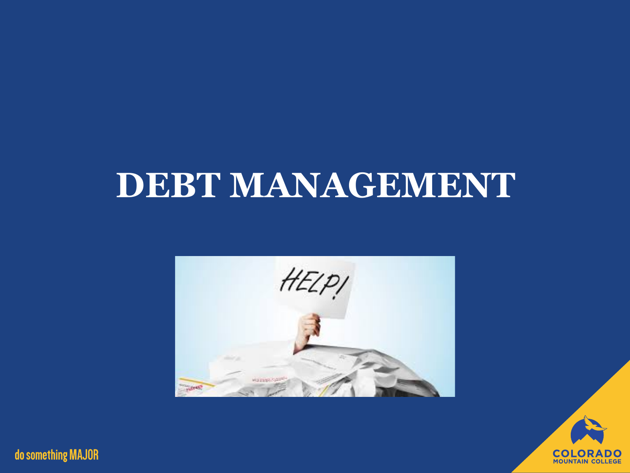# **DEBT MANAGEMENT**



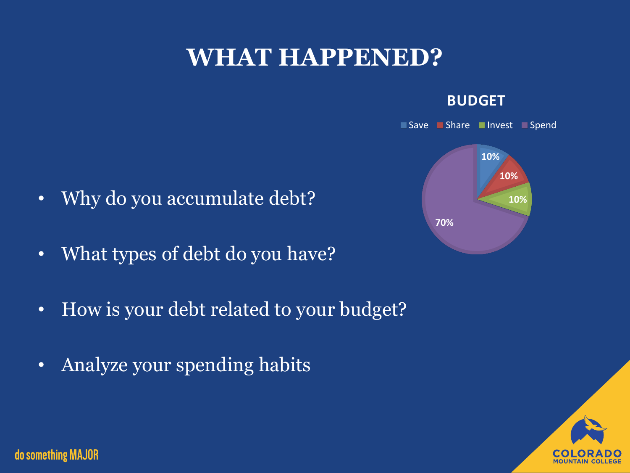## **WHAT HAPPENED?**

#### **BUDGET**



- Why do you accumulate debt?
- What types of debt do you have?
- How is your debt related to your budget?
- Analyze your spending habits

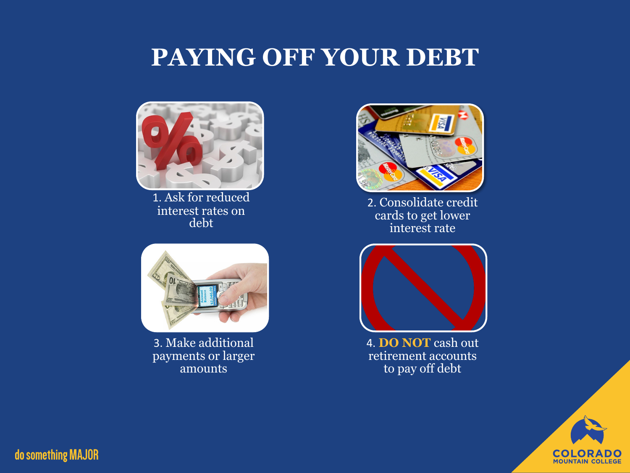### **PAYING OFF YOUR DEBT**



1. Ask for reduced interest rates on debt



3. Make additional payments or larger amounts



2. Consolidate credit cards to get lower interest rate



4. **DO NOT** cash out retirement accounts to pay off debt

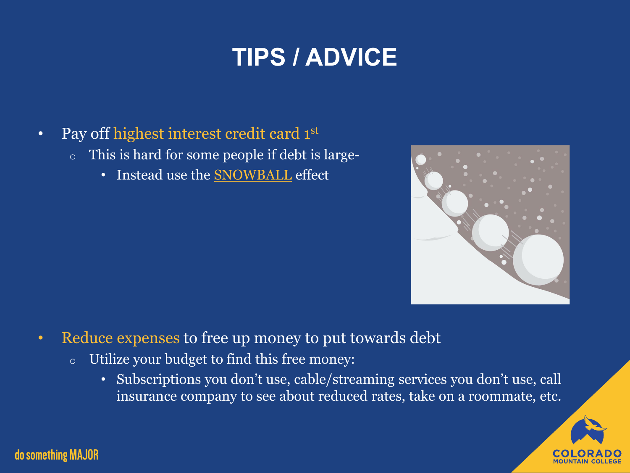# **TIPS / ADVICE**

- Pay off highest interest credit card 1st
	- o This is hard for some people if debt is large-
		- Instead use the **[SNOWBALL](https://www.investopedia.com/articles/personal-finance/080716/debt-avalanche-vs-debt-snowball-which-best-you.asp)** effect



- Reduce expenses to free up money to put towards debt
	- o Utilize your budget to find this free money:
		- Subscriptions you don't use, cable/streaming services you don't use, call insurance company to see about reduced rates, take on a roommate, etc.

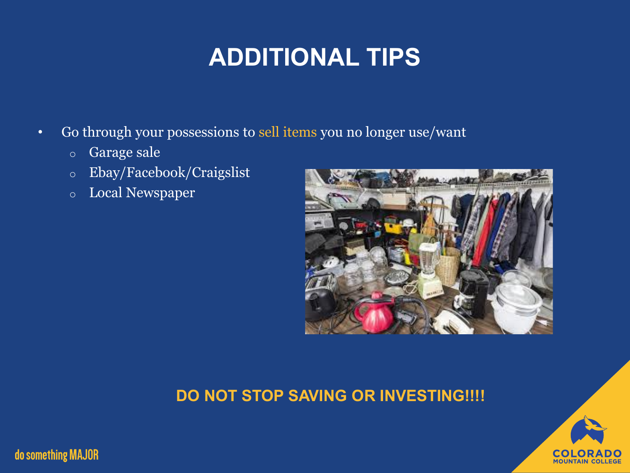# **ADDITIONAL TIPS**

- Go through your possessions to sell items you no longer use/want
	- o Garage sale
	- o Ebay/Facebook/Craigslist
	- o Local Newspaper



#### **DO NOT STOP SAVING OR INVESTING!!!!**

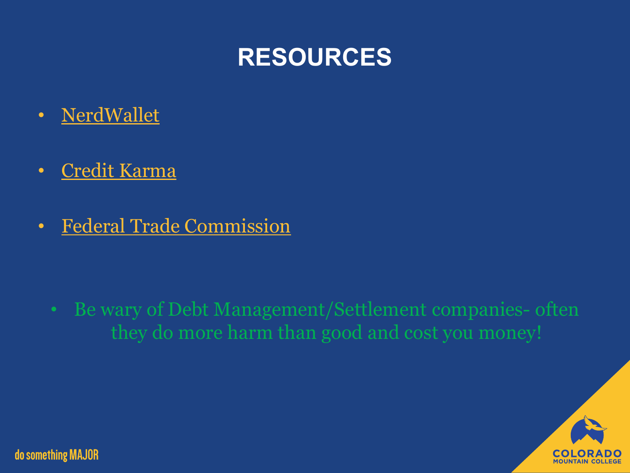

- [NerdWallet](https://www.nerdwallet.com/blog/pay-off-debt/)
- [Credit Karma](https://www.creditkarma.com/advice/i/how-to-pay-off-debt-5-steps)
- [Federal Trade Commission](https://www.consumer.ftc.gov/articles/0150-coping-debt)

• Be wary of Debt Management/Settlement companies- often they do more harm than good and cost you money!

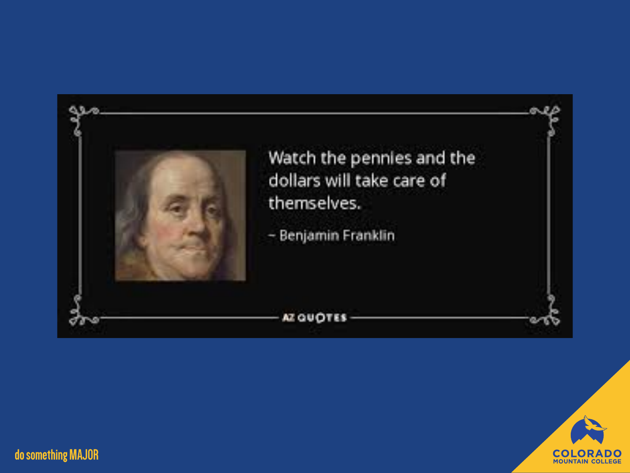